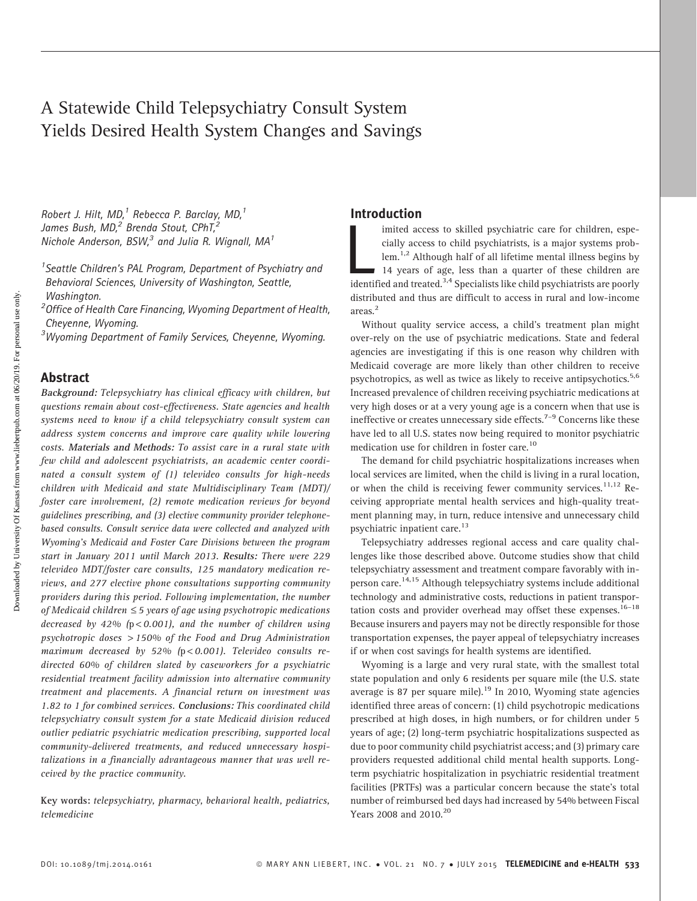# A Statewide Child Telepsychiatry Consult System Yields Desired Health System Changes and Savings

Robert J. Hilt, MD, $<sup>1</sup>$  Rebecca P. Barclay, MD, $<sup>1</sup>$ </sup></sup> James Bush, MD,<sup>2</sup> Brenda Stout, CPhT,<sup>2</sup> Nichole Anderson, BSW, $^3$  and Julia R. Wignall, MA $^1$ 

<sup>1</sup> Seattle Children's PAL Program, Department of Psychiatry and Behavioral Sciences, University of Washington, Seattle, Washington.

<sup>2</sup> Office of Health Care Financing, Wyoming Department of Health, Cheyenne, Wyoming.

<sup>3</sup>Wyoming Department of Family Services, Cheyenne, Wyoming.

### Abstract

Background: Telepsychiatry has clinical efficacy with children, but questions remain about cost-effectiveness. State agencies and health systems need to know if a child telepsychiatry consult system can address system concerns and improve care quality while lowering costs. Materials and Methods: To assist care in a rural state with few child and adolescent psychiatrists, an academic center coordinated a consult system of (1) televideo consults for high-needs children with Medicaid and state Multidisciplinary Team (MDT)/ foster care involvement, (2) remote medication reviews for beyond guidelines prescribing, and (3) elective community provider telephonebased consults. Consult service data were collected and analyzed with Wyoming's Medicaid and Foster Care Divisions between the program start in January 2011 until March 2013. Results: There were 229 televideo MDT/foster care consults, 125 mandatory medication reviews, and 277 elective phone consultations supporting community providers during this period. Following implementation, the number of Medicaid children  $\leq$  5 years of age using psychotropic medications decreased by 42% ( $p < 0.001$ ), and the number of children using psychotropic doses > 150% of the Food and Drug Administration maximum decreased by 52% ( $p < 0.001$ ). Televideo consults redirected 60% of children slated by caseworkers for a psychiatric residential treatment facility admission into alternative community treatment and placements. A financial return on investment was 1.82 to 1 for combined services. Conclusions: This coordinated child telepsychiatry consult system for a state Medicaid division reduced outlier pediatric psychiatric medication prescribing, supported local community-delivered treatments, and reduced unnecessary hospitalizations in a financially advantageous manner that was well received by the practice community.

Key words: telepsychiatry, pharmacy, behavioral health, pediatrics, telemedicine

## Introduction

imited access to skilled psychiatric care for children, especially access to child psychiatrists, is a major systems problem.<sup>1,2</sup> Although half of all lifetime mental illness begins by 14 years of age, less than a quarter imited access to skilled psychiatric care for children, especially access to child psychiatrists, is a major systems problem.<sup>1,2</sup> Although half of all lifetime mental illness begins by 14 years of age, less than a quarter of these children are distributed and thus are difficult to access in rural and low-income areas.<sup>2</sup>

Without quality service access, a child's treatment plan might over-rely on the use of psychiatric medications. State and federal agencies are investigating if this is one reason why children with Medicaid coverage are more likely than other children to receive psychotropics, as well as twice as likely to receive antipsychotics.<sup>5,6</sup> Increased prevalence of children receiving psychiatric medications at very high doses or at a very young age is a concern when that use is ineffective or creates unnecessary side effects.<sup>7-9</sup> Concerns like these have led to all U.S. states now being required to monitor psychiatric medication use for children in foster care.<sup>10</sup>

The demand for child psychiatric hospitalizations increases when local services are limited, when the child is living in a rural location, or when the child is receiving fewer community services.<sup>11,12</sup> Receiving appropriate mental health services and high-quality treatment planning may, in turn, reduce intensive and unnecessary child psychiatric inpatient care.<sup>13</sup>

Telepsychiatry addresses regional access and care quality challenges like those described above. Outcome studies show that child telepsychiatry assessment and treatment compare favorably with inperson care.<sup>14,15</sup> Although telepsychiatry systems include additional technology and administrative costs, reductions in patient transportation costs and provider overhead may offset these expenses.<sup>16–18</sup> Because insurers and payers may not be directly responsible for those transportation expenses, the payer appeal of telepsychiatry increases if or when cost savings for health systems are identified.

Wyoming is a large and very rural state, with the smallest total state population and only 6 residents per square mile (the U.S. state average is 87 per square mile). $^{19}$  In 2010, Wyoming state agencies identified three areas of concern: (1) child psychotropic medications prescribed at high doses, in high numbers, or for children under 5 years of age; (2) long-term psychiatric hospitalizations suspected as due to poor community child psychiatrist access; and (3) primary care providers requested additional child mental health supports. Longterm psychiatric hospitalization in psychiatric residential treatment facilities (PRTFs) was a particular concern because the state's total number of reimbursed bed days had increased by 54% between Fiscal Years 2008 and 2010.<sup>20</sup>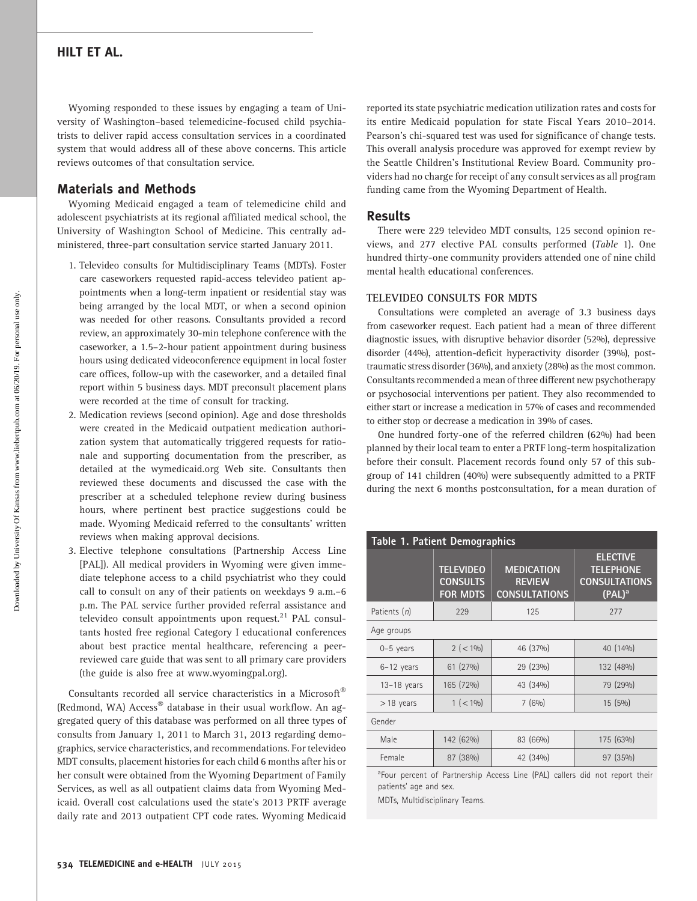Wyoming responded to these issues by engaging a team of University of Washington–based telemedicine-focused child psychiatrists to deliver rapid access consultation services in a coordinated system that would address all of these above concerns. This article reviews outcomes of that consultation service.

## Materials and Methods

Wyoming Medicaid engaged a team of telemedicine child and adolescent psychiatrists at its regional affiliated medical school, the University of Washington School of Medicine. This centrally administered, three-part consultation service started January 2011.

- 1. Televideo consults for Multidisciplinary Teams (MDTs). Foster care caseworkers requested rapid-access televideo patient appointments when a long-term inpatient or residential stay was being arranged by the local MDT, or when a second opinion was needed for other reasons. Consultants provided a record review, an approximately 30-min telephone conference with the caseworker, a 1.5–2-hour patient appointment during business hours using dedicated videoconference equipment in local foster care offices, follow-up with the caseworker, and a detailed final report within 5 business days. MDT preconsult placement plans were recorded at the time of consult for tracking.
- 2. Medication reviews (second opinion). Age and dose thresholds were created in the Medicaid outpatient medication authorization system that automatically triggered requests for rationale and supporting documentation from the prescriber, as detailed at the wymedicaid.org Web site. Consultants then reviewed these documents and discussed the case with the prescriber at a scheduled telephone review during business hours, where pertinent best practice suggestions could be made. Wyoming Medicaid referred to the consultants' written reviews when making approval decisions.
- 3. Elective telephone consultations (Partnership Access Line [PAL]). All medical providers in Wyoming were given immediate telephone access to a child psychiatrist who they could call to consult on any of their patients on weekdays 9 a.m.–6 p.m. The PAL service further provided referral assistance and televideo consult appointments upon request.<sup>21</sup> PAL consultants hosted free regional Category I educational conferences about best practice mental healthcare, referencing a peerreviewed care guide that was sent to all primary care providers (the guide is also free at www.wyomingpal.org).

Consultants recorded all service characteristics in a Microsoft $^\circ$ (Redmond, WA) Access® database in their usual workflow. An aggregated query of this database was performed on all three types of consults from January 1, 2011 to March 31, 2013 regarding demographics, service characteristics, and recommendations. For televideo MDT consults, placement histories for each child 6 months after his or her consult were obtained from the Wyoming Department of Family Services, as well as all outpatient claims data from Wyoming Medicaid. Overall cost calculations used the state's 2013 PRTF average daily rate and 2013 outpatient CPT code rates. Wyoming Medicaid

reported its state psychiatric medication utilization rates and costs for its entire Medicaid population for state Fiscal Years 2010–2014. Pearson's chi-squared test was used for significance of change tests. This overall analysis procedure was approved for exempt review by the Seattle Children's Institutional Review Board. Community providers had no charge for receipt of any consult services as all program funding came from the Wyoming Department of Health.

### Results

There were 229 televideo MDT consults, 125 second opinion reviews, and 277 elective PAL consults performed (Table 1). One hundred thirty-one community providers attended one of nine child mental health educational conferences.

#### TELEVIDEO CONSULTS FOR MDTS

Consultations were completed an average of 3.3 business days from caseworker request. Each patient had a mean of three different diagnostic issues, with disruptive behavior disorder (52%), depressive disorder (44%), attention-deficit hyperactivity disorder (39%), posttraumatic stress disorder (36%), and anxiety (28%) as the most common. Consultants recommended a mean of three different new psychotherapy or psychosocial interventions per patient. They also recommended to either start or increase a medication in 57% of cases and recommended to either stop or decrease a medication in 39% of cases.

One hundred forty-one of the referred children (62%) had been planned by their local team to enter a PRTF long-term hospitalization before their consult. Placement records found only 57 of this subgroup of 141 children (40%) were subsequently admitted to a PRTF during the next 6 months postconsultation, for a mean duration of

| Table 1. Patient Demographics                                                           |                                                        |                                                            |                                                                          |  |  |  |  |  |  |
|-----------------------------------------------------------------------------------------|--------------------------------------------------------|------------------------------------------------------------|--------------------------------------------------------------------------|--|--|--|--|--|--|
|                                                                                         | <b>TELEVIDEO</b><br><b>CONSULTS</b><br><b>FOR MDTS</b> | <b>MEDICATION</b><br><b>REVIEW</b><br><b>CONSULTATIONS</b> | <b>ELECTIVE</b><br><b>TELEPHONE</b><br><b>CONSULTATIONS</b><br>$(PAL)^a$ |  |  |  |  |  |  |
| Patients (n)                                                                            | 229                                                    | 125                                                        | 277                                                                      |  |  |  |  |  |  |
| Age groups                                                                              |                                                        |                                                            |                                                                          |  |  |  |  |  |  |
| $0-5$ years                                                                             | $2 (-1\%)$                                             | 46 (37%)                                                   | 40 (14%)                                                                 |  |  |  |  |  |  |
| $6-12$ years                                                                            | 61 (27%)                                               | 29 (23%)                                                   | 132 (48%)                                                                |  |  |  |  |  |  |
| $13-18$ years                                                                           | 165 (72%)                                              | 43 (34%)                                                   | 79 (29%)                                                                 |  |  |  |  |  |  |
| $>18$ years                                                                             | $1 (-1\%)$                                             | 7(6%)                                                      | 15 (5%)                                                                  |  |  |  |  |  |  |
| Gender                                                                                  |                                                        |                                                            |                                                                          |  |  |  |  |  |  |
| Male                                                                                    | 142 (62%)                                              | 83 (66%)                                                   | 175 (63%)                                                                |  |  |  |  |  |  |
| Female                                                                                  | 87 (38%)                                               | 42 (34%)                                                   | 97 (35%)                                                                 |  |  |  |  |  |  |
| <sup>a</sup> Four percent of Partnership Access Line (PAL) callers did not report their |                                                        |                                                            |                                                                          |  |  |  |  |  |  |

Four percent of Partnership Access Line (PAL) callers did not report their patients' age and sex.

MDTs, Multidisciplinary Teams.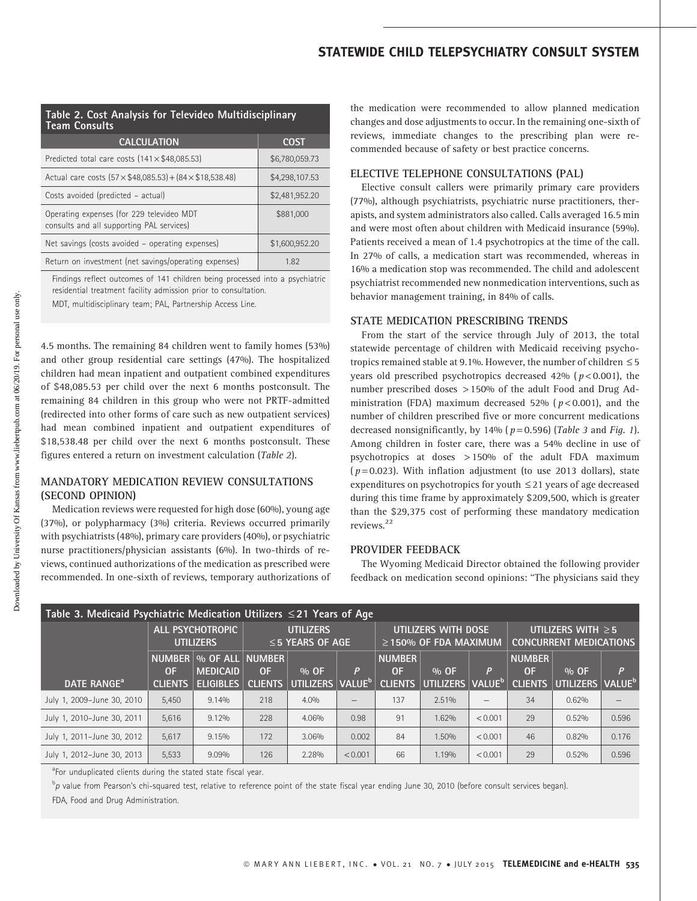## STATEWIDE CHILD TELEPSYCHIATRY CONSULT SYSTEM

| Table 2. Cost Analysis for Televideo Multidisciplinary<br><b>Team Consults</b>         |                |  |  |  |  |  |
|----------------------------------------------------------------------------------------|----------------|--|--|--|--|--|
| <b>CALCULATION</b>                                                                     | <b>COST</b>    |  |  |  |  |  |
| Predicted total care costs $(141 \times $48,085.53)$                                   | \$6,780,059.73 |  |  |  |  |  |
| Actual care costs $(57 \times $48,085.53) + (84 \times $18,538.48)$                    | \$4,298,107.53 |  |  |  |  |  |
| Costs avoided (predicted - actual)                                                     | \$2,481,952.20 |  |  |  |  |  |
| Operating expenses (for 229 televideo MDT<br>consults and all supporting PAL services) | \$881,000      |  |  |  |  |  |
| Net savings (costs avoided - operating expenses)                                       | \$1,600,952.20 |  |  |  |  |  |
| Return on investment (net savings/operating expenses)                                  | 1.82           |  |  |  |  |  |

Findings reflect outcomes of 141 children being processed into a psychiatric residential treatment facility admission prior to consultation.

MDT, multidisciplinary team; PAL, Partnership Access Line.

4.5 months. The remaining 84 children went to family homes (53%) and other group residential care settings (47%). The hospitalized children had mean inpatient and outpatient combined expenditures of \$48,085.53 per child over the next 6 months postconsult. The remaining 84 children in this group who were not PRTF-admitted (redirected into other forms of care such as new outpatient services) had mean combined inpatient and outpatient expenditures of \$18,538.48 per child over the next 6 months postconsult. These figures entered a return on investment calculation (Table 2).

## MANDATORY MEDICATION REVIEW CONSULTATIONS (SECOND OPINION)

Medication reviews were requested for high dose (60%), young age (37%), or polypharmacy (3%) criteria. Reviews occurred primarily with psychiatrists (48%), primary care providers (40%), or psychiatric nurse practitioners/physician assistants (6%). In two-thirds of reviews, continued authorizations of the medication as prescribed were recommended. In one-sixth of reviews, temporary authorizations of the medication were recommended to allow planned medication changes and dose adjustments to occur. In the remaining one-sixth of reviews, immediate changes to the prescribing plan were recommended because of safety or best practice concerns.

#### ELECTIVE TELEPHONE CONSULTATIONS (PAL)

Elective consult callers were primarily primary care providers (77%), although psychiatrists, psychiatric nurse practitioners, therapists, and system administrators also called. Calls averaged 16.5 min and were most often about children with Medicaid insurance (59%). Patients received a mean of 1.4 psychotropics at the time of the call. In 27% of calls, a medication start was recommended, whereas in 16% a medication stop was recommended. The child and adolescent psychiatrist recommended new nonmedication interventions, such as behavior management training, in 84% of calls.

#### STATE MEDICATION PRESCRIBING TRENDS

From the start of the service through July of 2013, the total statewide percentage of children with Medicaid receiving psychotropics remained stable at 9.1%. However, the number of children  $\leq$  5 years old prescribed psychotropics decreased  $42\%$  ( $p < 0.001$ ), the number prescribed doses > 150% of the adult Food and Drug Administration (FDA) maximum decreased 52% ( $p < 0.001$ ), and the number of children prescribed five or more concurrent medications decreased nonsignificantly, by 14% ( $p = 0.596$ ) (Table 3 and Fig. 1). Among children in foster care, there was a 54% decline in use of psychotropics at doses > 150% of the adult FDA maximum  $(p=0.023)$ . With inflation adjustment (to use 2013 dollars), state expenditures on psychotropics for youth  $\leq$  21 years of age decreased during this time frame by approximately \$209,500, which is greater than the \$29,375 cost of performing these mandatory medication reviews.<sup>22</sup>

### PROVIDER FEEDBACK

The Wyoming Medicaid Director obtained the following provider feedback on medication second opinions: ''The physicians said they

| Table 3. Medicaid Psychiatric Medication Utilizers $\leq$ 21 Years of Age |                                             |                                                          |                                    |                                            |                                                   |                                       |                                                          |                          |                                       |                                          |       |  |
|---------------------------------------------------------------------------|---------------------------------------------|----------------------------------------------------------|------------------------------------|--------------------------------------------|---------------------------------------------------|---------------------------------------|----------------------------------------------------------|--------------------------|---------------------------------------|------------------------------------------|-------|--|
|                                                                           | <b>ALL PSYCHOTROPIC</b><br><b>UTILIZERS</b> |                                                          | UTILIZERS<br>$\leq$ 5 YEARS OF AGE |                                            | UTILIZERS WITH DOSE<br>$\geq$ 150% OF FDA MAXIMUM |                                       | UTILIZERS WITH $\geq$ 5<br><b>CONCURRENT MEDICATIONS</b> |                          |                                       |                                          |       |  |
| DATE RANGE <sup>a</sup>                                                   | <b>NUMBER</b><br>0F<br><b>CLIENTS</b>       | ∣% OF ALL∣NUMBER∣<br><b>MEDICAID</b><br><b>ELIGIBLES</b> | <b>OF</b><br><b>CLIENTS</b>        | $%$ OF<br>  UTILIZERS   VALUE <sup>º</sup> | P                                                 | <b>NUMBER</b><br>0F<br><b>CLIENTS</b> | $%$ OF<br>UTILIZERS VALUE <sup>b</sup>                   | P                        | <b>NUMBER</b><br>0F<br><b>CLIENTS</b> | $%$ OF<br>UTILIZERS   VALUE <sup>6</sup> | P     |  |
| July 1, 2009-June 30, 2010                                                | 5.450                                       | 9.14%                                                    | 218                                | 4.0%                                       |                                                   | 137                                   | 2.51%                                                    | $\overline{\phantom{0}}$ | 34                                    | 0.62%                                    |       |  |
| July 1, 2010-June 30, 2011                                                | 5.616                                       | 9.12%                                                    | 228                                | 4.06%                                      | 0.98                                              | 91                                    | 1.62%                                                    | < 0.001                  | 29                                    | 0.52%                                    | 0.596 |  |
| July 1, 2011-June 30, 2012                                                | 5.617                                       | 9.15%                                                    | 172                                | 3.06%                                      | 0.002                                             | 84                                    | 1.50%                                                    | < 0.001                  | 46                                    | 0.82%                                    | 0.176 |  |
| July 1, 2012-June 30, 2013                                                | 5,533                                       | 9.09%                                                    | 126                                | 2.28%                                      | < 0.001                                           | 66                                    | 1.19%                                                    | < 0.001                  | 29                                    | 0.52%                                    | 0.596 |  |

<sup>a</sup>For unduplicated clients during the stated state fiscal year.

<sup>b</sup>p value from Pearson's chi-squared test, relative to reference point of the state fiscal year ending June 30, 2010 (before consult services began).

FDA, Food and Drug Administration.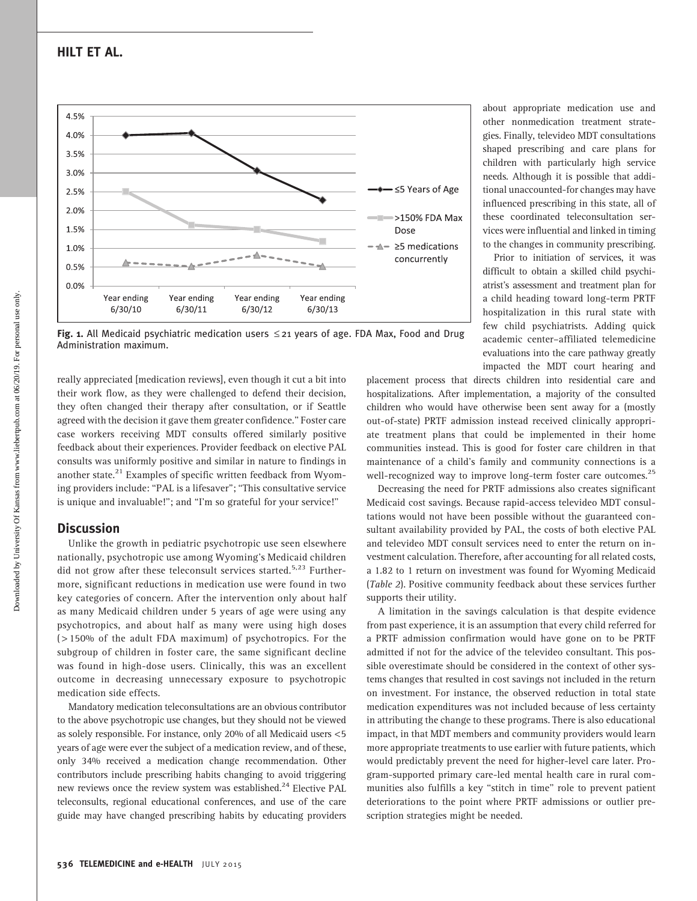Downloaded by University Of Kansas from www.liebertpub.com at 06/20/19. For personal use only. Oownloaded by University Of Kansas from www.liebertpub.com at 06/20/19. For personal use only

## HILT ET AL.



Fig. 1. All Medicaid psychiatric medication users  $\leq$  21 years of age. FDA Max, Food and Drug Administration maximum.

really appreciated [medication reviews], even though it cut a bit into their work flow, as they were challenged to defend their decision, they often changed their therapy after consultation, or if Seattle agreed with the decision it gave them greater confidence.'' Foster care case workers receiving MDT consults offered similarly positive feedback about their experiences. Provider feedback on elective PAL consults was uniformly positive and similar in nature to findings in another state.<sup>21</sup> Examples of specific written feedback from Wyoming providers include: ''PAL is a lifesaver''; ''This consultative service is unique and invaluable!"; and "I'm so grateful for your service!"

## **Discussion**

Unlike the growth in pediatric psychotropic use seen elsewhere nationally, psychotropic use among Wyoming's Medicaid children did not grow after these teleconsult services started.<sup>5,23</sup> Furthermore, significant reductions in medication use were found in two key categories of concern. After the intervention only about half as many Medicaid children under 5 years of age were using any psychotropics, and about half as many were using high doses ( > 150% of the adult FDA maximum) of psychotropics. For the subgroup of children in foster care, the same significant decline was found in high-dose users. Clinically, this was an excellent outcome in decreasing unnecessary exposure to psychotropic medication side effects.

Mandatory medication teleconsultations are an obvious contributor to the above psychotropic use changes, but they should not be viewed as solely responsible. For instance, only 20% of all Medicaid users <5 years of age were ever the subject of a medication review, and of these, only 34% received a medication change recommendation. Other contributors include prescribing habits changing to avoid triggering new reviews once the review system was established.<sup>24</sup> Elective PAL teleconsults, regional educational conferences, and use of the care guide may have changed prescribing habits by educating providers

about appropriate medication use and other nonmedication treatment strategies. Finally, televideo MDT consultations shaped prescribing and care plans for children with particularly high service needs. Although it is possible that additional unaccounted-for changes may have influenced prescribing in this state, all of these coordinated teleconsultation services were influential and linked in timing to the changes in community prescribing.

Prior to initiation of services, it was difficult to obtain a skilled child psychiatrist's assessment and treatment plan for a child heading toward long-term PRTF hospitalization in this rural state with few child psychiatrists. Adding quick academic center–affiliated telemedicine evaluations into the care pathway greatly impacted the MDT court hearing and

placement process that directs children into residential care and hospitalizations. After implementation, a majority of the consulted children who would have otherwise been sent away for a (mostly out-of-state) PRTF admission instead received clinically appropriate treatment plans that could be implemented in their home communities instead. This is good for foster care children in that maintenance of a child's family and community connections is a well-recognized way to improve long-term foster care outcomes.<sup>25</sup>

Decreasing the need for PRTF admissions also creates significant Medicaid cost savings. Because rapid-access televideo MDT consultations would not have been possible without the guaranteed consultant availability provided by PAL, the costs of both elective PAL and televideo MDT consult services need to enter the return on investment calculation. Therefore, after accounting for all related costs, a 1.82 to 1 return on investment was found for Wyoming Medicaid (Table 2). Positive community feedback about these services further supports their utility.

A limitation in the savings calculation is that despite evidence from past experience, it is an assumption that every child referred for a PRTF admission confirmation would have gone on to be PRTF admitted if not for the advice of the televideo consultant. This possible overestimate should be considered in the context of other systems changes that resulted in cost savings not included in the return on investment. For instance, the observed reduction in total state medication expenditures was not included because of less certainty in attributing the change to these programs. There is also educational impact, in that MDT members and community providers would learn more appropriate treatments to use earlier with future patients, which would predictably prevent the need for higher-level care later. Program-supported primary care-led mental health care in rural communities also fulfills a key ''stitch in time'' role to prevent patient deteriorations to the point where PRTF admissions or outlier prescription strategies might be needed.